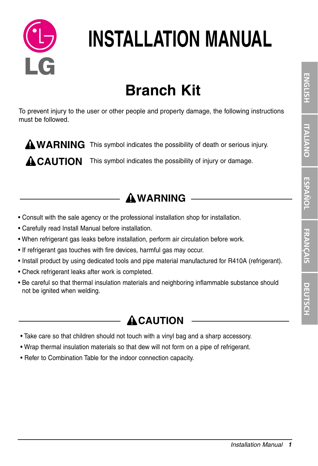

# **INSTALLATION MANUAL**

# **Branch Kit**

To prevent injury to the user or other people and property damage, the following instructions must be followed.

WARNING This symbol indicates the possibility of death or serious injury.

**CAUTION** This symbol indicates the possibility of injury or damage.

### **WARNING**

- Consult with the sale agency or the professional installation shop for installation.
- Carefully read Install Manual before installation.
- When refrigerant gas leaks before installation, perform air circulation before work.
- If refrigerant gas touches with fire devices, harmful gas may occur.
- Install product by using dedicated tools and pipe material manufactured for R410A (refrigerant).
- Check refrigerant leaks after work is completed.
- Be careful so that thermal insulation materials and neighboring inflammable substance should not be ignited when welding.

### **ACAUTION**

- Take care so that children should not touch with a vinyl bag and a sharp accessory.
- Wrap thermal insulation materials so that dew will not form on a pipe of refrigerant.
- Refer to Combination Table for the indoor connection capacity.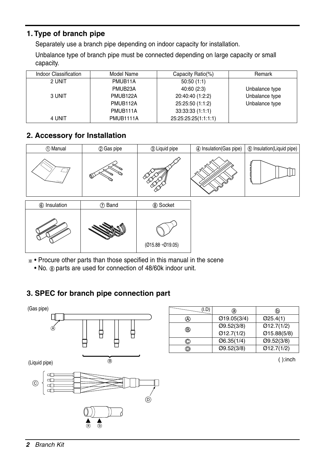#### **1. Type of branch pipe**

Separately use a branch pipe depending on indoor capacity for installation.

Unbalance type of branch pipe must be connected depending on large capacity or small capacity.

| Indoor Classification | Model Name            | Capacity Ratio(%)    | Remark         |
|-----------------------|-----------------------|----------------------|----------------|
| 2 UNIT                | PMUB11A               | 50:50(1:1)           |                |
|                       | PMUB <sub>23</sub> A  | 40:60(2:3)           | Unbalance type |
| 3 UNIT                | PMUB <sub>122</sub> A | 20:40:40 (1:2:2)     | Unbalance type |
|                       | PMUB112A              | 25:25:50 (1:1:2)     | Unbalance type |
|                       | PMUB111A              | 33:33:33(1:1:1)      |                |
| 4 UNIT                | PMUB1111A             | 25:25:25:25(1:1:1:1) |                |

#### **2. Accessory for Installation**

| 1 Manual                      | 2 Gas pipe               | 3 Liquid pipe   | 4 Insulation (Gas pipe) | 5 Insulation(Liquid pipe) |
|-------------------------------|--------------------------|-----------------|-------------------------|---------------------------|
|                               | ⇘<br>∾<br>Ø)             |                 |                         |                           |
| $\bigotimes$ the contractions | $\bigcap_{n=1}^{\infty}$ | $Q_1 Q_2$ $Q_3$ |                         |                           |



• Procure other parts than those specified in this manual in the scene

• No.  $\circledast$  parts are used for connection of 48/60k indoor unit.

#### **3. SPEC for branch pipe connection part**



|   | a)           | டு          |
|---|--------------|-------------|
|   | Ø19.05(3/4)  | $Q$ 25.4(1) |
| ® | O(9.52(3/8)) | Ø12.7(1/2)  |
|   | Ø12.7(1/2)   | Ø15.88(5/8) |
| O | Ø6.35(1/4)   | Q9.52(3/8)  |
| D | O(9.52(3/8)) | Ø12.7(1/2)  |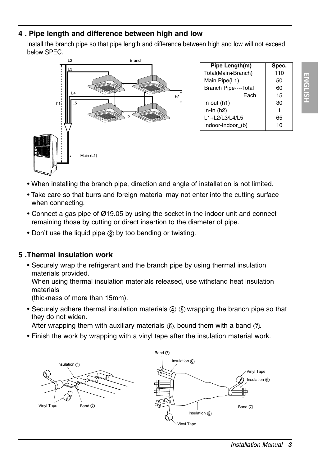## **ENGLISH ENGLISH**

#### **4 . Pipe length and difference between high and low**

Install the branch pipe so that pipe length and difference between high and low will not exceed below SPEC.



- When installing the branch pipe, direction and angle of installation is not limited.
- Take care so that burrs and foreign material may not enter into the cutting surface when connecting.
- Connect a gas pipe of Ø19.05 by using the socket in the indoor unit and connect remaining those by cutting or direct insertion to the diameter of pipe.
- Don't use the liquid pipe (3) by too bending or twisting.

#### **5 .Thermal insulation work**

• Securely wrap the refrigerant and the branch pipe by using thermal insulation materials provided.

When using thermal insulation materials released, use withstand heat insulation materials

(thickness of more than 15mm).

• Securely adhere thermal insulation materials  $\Phi$  (5) wrapping the branch pipe so that they do not widen.

After wrapping them with auxiliary materials  $(6)$ , bound them with a band  $(7)$ .

• Finish the work by wrapping with a vinyl tape after the insulation material work.